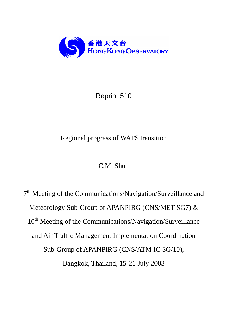

## Reprint 510

## Regional progress of WAFS transition

## C.M. Shun

7<sup>th</sup> Meeting of the Communications/Navigation/Surveillance and Meteorology Sub-Group of APANPIRG (CNS/MET SG7) & 10<sup>th</sup> Meeting of the Communications/Navigation/Surveillance and Air Traffic Management Implementation Coordination Sub-Group of APANPIRG (CNS/ATM IC SG/10), Bangkok, Thailand, 15-21 July 2003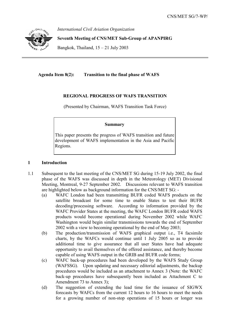

*International Civil Aviation Organization* 

**Seventh Meeting of CNS/MET Sub-Group of APANPIRG** 

Bangkok, Thailand,  $15 - 21$  July 2003

**Agenda Item 8(2): Transition to the final phase of WAFS** 

#### **REGIONAL PROGRESS OF WAFS TRANSITION**

(Presented by Chairman, WAFS Transition Task Force)

#### **Summary**

This paper presents the progress of WAFS transition and future development of WAFS implementation in the Asia and Pacific Regions.

#### **1 Introduction**

- 1.1 Subsequent to the last meeting of the CNS/MET SG during 15-19 July 2002, the final phase of the WAFS was discussed in depth in the Meteorology (MET) Divisional Meeting, Montreal, 9-27 September 2002. Discussions relevant to WAFS transition are highlighted below as background information for the CNS/MET SG: -
	- (a) WAFC London had been transmitting BUFR coded WAFS products on the satellite broadcast for some time to enable States to test their BUFR decoding/processing software. According to information provided by the WAFC Provider States at the meeting, the WAFC London BUFR coded WAFS products would become operational during November 2002 while WAFC Washington would begin similar transmissions towards the end of September 2002 with a view to becoming operational by the end of May 2003;
	- (b) The production/transmission of WAFS graphical output i.e., T4 facsimile charts, by the WAFCs would continue until 1 July 2005 so as to provide additional time to give assurance that all user States have had adequate opportunity to avail themselves of the offered assistance, and thereby become capable of using WAFS output in the GRIB and BUFR code forms;
	- (c) WAFC back-up procedures had been developed by the WAFS Study Group (WAFSSG). Upon updating and necessary editorial adjustments, the backup procedures would be included as an attachment to Annex 3 (Note: the WAFC back-up procedures have subsequently been included as Attachment C to Amendment 73 to Annex 3);
	- (d) The suggestion of extending the lead time for the issuance of SIGWX forecasts by WAFCs from the current 12 hours to 16 hours to meet the needs for a growing number of non-stop operations of 15 hours or longer was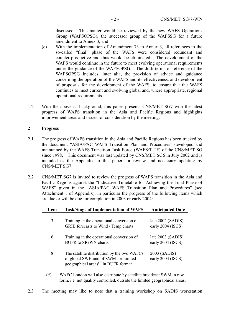discussed. This matter would be reviewed by the new WAFS Operations Group (WAFSOPSG), the successor group of the WAFSSG for a future amendment to Annex 3; and

- (e) With the implementation of Amendment 73 to Annex 3, all references to the so-called "final" phase of the WAFS were considered redundant and counter-productive and thus would be eliminated. The development of the WAFS would continue in the future to meet evolving operational requirements under the guidance of the WAFSOPSG. The draft terms of reference of the WAFSOPSG includes, inter alia, the provision of advice and guidance concerning the operation of the WAFS and its effectiveness, and development of proposals for the development of the WAFS, to ensure that the WAFS continues to meet current and evolving global and, where appropriate, regional operational requirements.
- 1.2 With the above as background, this paper presents CNS/MET SG7 with the latest progress of WAFS transition in the Asia and Pacific Regions and highlights improvement areas and issues for consideration by the meeting.

#### **2 Progress**

- 2.1 The progress of WAFS transition in the Asia and Pacific Regions has been tracked by the document "ASIA/PAC WAFS Transition Plan and Procedures" developed and maintained by the WAFS Transition Task Force (WAFS/T TF) of the CNS/MET SG since 1998. This document was last updated by CNS/MET SG6 in July 2002 and is included as the Appendix to this paper for review and necessary updating by CNS/MET SG7.
- 2.2 CNS/MET SG7 is invited to review the progress of WAFS transition in the Asia and Pacific Regions against the "Indicative Timetable for Achieving the Final Phase of WAFS" given in the "ASIA/PAC WAFS Transition Plan and Procedures" (see Attachment 1 of Appendix), in particular the progress of the following items which are due or will be due for completion in 2003 or early 2004: -

| <b>Item</b> | <b>Task/Stage of Implementation of WAFS</b>                                                                                                          | <b>Anticipated Date</b>                |
|-------------|------------------------------------------------------------------------------------------------------------------------------------------------------|----------------------------------------|
| 3           | Training in the operational conversion of<br>GRIB forecasts to Wind / Temp charts                                                                    | late 2002 (SADIS)<br>early 2004 (ISCS) |
| 6           | Training in the operational conversion of<br><b>BUFR</b> to SIGWX charts                                                                             | late 2003 (SADIS)<br>early 2004 (ISCS) |
| 8           | The satellite distribution by the two WAFCs<br>of global SWH and of SWM for limited<br>geographical areas <sup><math>(*)</math></sup> in BUFR format | 2003 (SADIS)<br>early 2004 (ISCS)      |

- (\*) WAFC London will also distribute by satellite broadcast SWM in raw form, i.e. not quality controlled, outside the limited geographical areas.
- 2.3 The meeting may like to note that a training workshop on SADIS workstation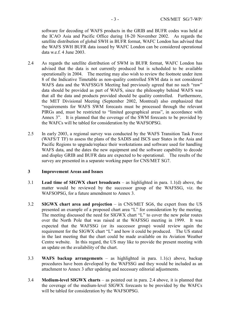software for decoding of WAFS products in the GRIB and BUFR codes was held at the ICAO Asia and Pacific Office during 18-20 November 2002. As regards the satellite distribution of global SWH in BUFR format, WAFC London has advised that the WAFS SWH BUFR data issued by WAFC London can be considered operational data w.e.f. 4 June 2003.

- 2.4 As regards the satellite distribution of SWM in BUFR format, WAFC London has advised that the data is not currently produced but is scheduled to be available operationally in 2004. The meeting may also wish to review the footnote under item 8 of the Indicative Timetable as non-quality controlled SWM data is not considered WAFS data and the WAFSSG/8 Meeting had previously agreed that no such "raw" data should be provided as part of WAFS, since the philosophy behind WAFS was that all the data and products provided should be quality controlled. Furthermore, the MET Divisional Meeting (September 2002, Montreal) also emphasized that "requirements for WAFS SWM forecasts must be processed through the relevant PIRGs and, must be restricted to "limited geographical areas", in accordance with Annex 3". It is planned that the coverage of the SWM forecasts to be provided by the WAFCs will be tabled for consideration by the WAFSOPSG.
- 2.5 In early 2003, a regional survey was conducted by the WAFS Transition Task Force (WAFS/T TF) to assess the plans of the SADIS and ISCS user States in the Asia and Pacific Regions to upgrade/replace their workstations and software used for handling WAFS data, and the dates the new equipment and the software capability to decode and display GRIB and BUFR data are expected to be operational. The results of the survey are presented in a separate working paper for CNS/MET SG7.

#### **3 Improvement Areas and Issues**

- 3.1 **Lead time of SIGWX chart broadcasts** as highlighted in para. 1.1(d) above, the matter would be reviewed by the successor group of the WAFSSG, viz. the WAFSOPSG, for a future amendment to Annex 3.
- 3.2 **SIGWX chart area and projection** in CNS/MET SG6, the expert from the US presented an example of a proposed chart area "L" for consideration by the meeting. The meeting discussed the need for SIGWX chart "L" to cover the new polar routes over the North Pole that was raised at the WAFSSG meeting in 1999. It was expected that the WAFSSG (or its successor group) would review again the requirement for the SIGWX chart "L" and how it could be produced. The US stated in the last meeting that the chart could be made available on its Aviation Weather Centre website. In this regard, the US may like to provide the present meeting with an update on the availability of the chart.
- 3.3 **WAFS backup arrangements** as highlighted in para. 1.1(c) above, backup procedures have been developed by the WAFSSG and they would be included as an attachment to Annex 3 after updating and necessary editorial adjustments.
- 3.4 **Medium-level SIGWX charts** as pointed out in para. 2.4 above, it is planned that the coverage of the medium-level SIGWX forecasts to be provided by the WAFCs will be tabled for consideration by the WAFSOPSG.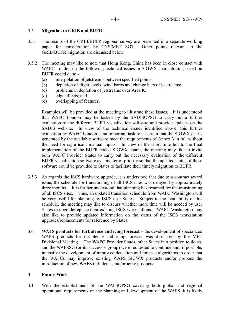#### 3.5 **Migration to GRIB and BUFR**

- 3.5.1 The results of the GRIB/BUFR regional survey are presented in a separate working paper for consideration by CNS/MET SG7. Other points relevant to the GRIB/BUFR migration are discussed below.
- 3.5.2 The meeting may like to note that Hong Kong, China has been in close contact with WAFC London on the following technical issues in SIGWX chart plotting based on BUFR coded data: -
	- (a) interpolation of jetstreams between specified points;
	- (b) depiction of flight levels, wind barbs and change bars of jetstreams;
	- (c) problems in depiction of jetstreams over Area K;
	- (d) edge effects; and
	- (e) overlapping of features.

Examples will be provided at the meeting to illustrate these issues. It is understood that WAFC London may be tasked by the SADISOPSG to carry out a further evaluation of the different BUFR visualization software and provide updates on the SADIS website. In view of the technical issues identified above, this further evaluation by WAFC London is an important task to ascertain that the SIGWX charts generated by the available software meet the requirements of Annex 3 in full without the need for significant manual inputs. In view of the short time left to the final implementation of the BUFR coded SIGWX charts, the meeting may like to invite both WAFC Provider States to carry out the necessary evaluation of the different BUFR visualization software as a matter of priority so that the updated status of these software could be provided to States to facilitate their timely migration to BUFR.

- 3.5.3 As regards the ISCS hardware upgrade, it is understood that due to a contract award issue, the schedule for transitioning of all ISCS sites was delayed by approximately three months. It is further understood that planning has resumed for the transitioning of all ISCS sites. Thus, an updated transition schedule from WAFC Washington will be very useful for planning by ISCS user States. Subject to the availability of this schedule, the meeting may like to discuss whether more time will be needed by user States to upgrade/replace their existing ISCS workstations. WAFC Washington may also like to provide updated information on the status of the ISCS workstation upgrades/replacements for reference by States.
- 3.6 **WAFS products for turbulence and icing forecast** the development of specialized WAFS products for turbulence and icing forecast was discussed by the MET Divisional Meeting. The WAFC Provider States, other States in a position to do so, and the WAFSSG (or its successor group) were requested to continue and, if possible, intensify the development of improved detection and forecast algorithms in order that the WAFCs may improve existing WAFS SIGWX products and/or propose the introduction of new WAFS turbulence and/or icing products.

#### **4 Future Work**

4.1 With the establishment of the WAFSOPSG covering both global and regional operational requirements on the planning and development of the WAFS, it is likely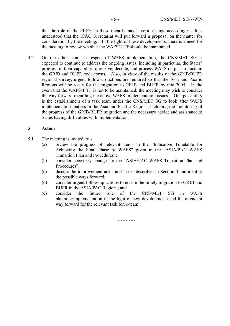that the role of the PIRGs in these regards may have to change accordingly. It is understood that the ICAO Secretariat will put forward a proposal on the matter for consideration by the meeting. In the light of these developments, there is a need for the meeting to review whether the WAFS/T TF should be maintained.

4.2 On the other hand, in respect of WAFS implementation, the CNS/MET SG is expected to continue to address the ongoing issues, including in particular, the States' progress in their capability to receive, decode, and process WAFS output products in the GRIB and BUFR code forms. Also, in view of the results of the GRIB/BUFR regional survey, urgent follow-up actions are required so that the Asia and Pacific Regions will be ready for the migration to GRIB and BUFR by mid-2005. In the event that the WAFS/T TF is not to be maintained, the meeting may wish to consider the way forward regarding the above WAFS implementation issues. One possibility is the establishment of a task team under the CNS/MET SG to look after WAFS implementation matters in the Asia and Pacific Regions, including the monitoring of the progress of the GRIB/BUFR migration and the necessary advice and assistance to States having difficulties with implementation.

#### **5 Action**

- 5.1 The meeting is invited to:
	- (a) review the progress of relevant items in the "Indicative Timetable for Achieving the Final Phase of WAFS" given in the "ASIA/PAC WAFS Transition Plan and Procedures";
	- (b) consider necessary changes to the "ASIA/PAC WAFS Transition Plan and Procedures":
	- (c) discuss the improvement areas and issues described in Section 3 and identify the possible ways forward;
	- (d) consider urgent follow-up actions to ensure the timely migration to GRIB and BUFR in the ASIA/PAC Regions; and
	- (e) consider the future role of the CNS/MET SG in WAFS planning/implementation in the light of new developments and the attendant way forward for the relevant task force/team.

- - - - - - -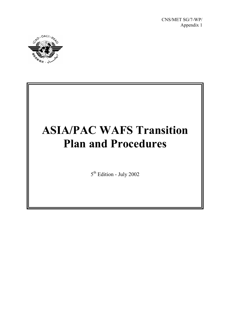CNS/MET SG/7-WP/ Appendix 1



# **ASIA/PAC WAFS Transition Plan and Procedures**

5th Edition - July 2002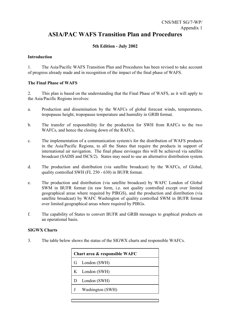### **ASIA/PAC WAFS Transition Plan and Procedures**

#### **5th Edition - July 2002**

#### **Introduction**

1. The Asia/Pacific WAFS Transition Plan and Procedures has been revised to take account of progress already made and in recognition of the impact of the final phase of WAFS.

#### **The Final Phase of WAFS**

2. This plan is based on the understanding that the Final Phase of WAFS, as it will apply to the Asia/Pacific Regions involves:

- a. Production and dissemination by the WAFCs of global forecast winds, temperatures, tropopause height, tropopause temperature and humidity in GRIB format.
- b. The transfer of responsibility for the production for SWH from RAFCs to the two WAFCs, and hence the closing down of the RAFCs.
- c. The implementation of a communication system/s for the distribution of WAFS products in the Asia/Pacific Regions, to all the States that require the products in support of international air navigation. The final phase envisages this will be achieved via satellite broadcast (SADIS and ISCS/2). States may need to use an alternative distribution system.
- d. The production and distribution (via satellite broadcast) by the WAFCs, of Global, quality controlled SWH (FL 250 - 630) in BUFR format.
- e. The production and distribution (via satellite broadcast) by WAFC London of Global SWM in BUFR format (in raw form, i.e. not quality controlled except over limited geographical areas where required by PIRGS), and the production and distribution (via satellite broadcast) by WAFC Washington of quality controlled SWM in BUFR format over limited geographical areas where required by PIRGs.
- f. The capability of States to convert BUFR and GRIB messages to graphical products on an operational basis.

#### **SIGWX Charts**

3. The table below shows the status of the SIGWX charts and responsible WAFCs.

| Chart area & responsible WAFC |                  |  |
|-------------------------------|------------------|--|
|                               | G London (SWH)   |  |
|                               | K London (SWH)   |  |
| D                             | London (SWH)     |  |
|                               | Washington (SWH) |  |
|                               |                  |  |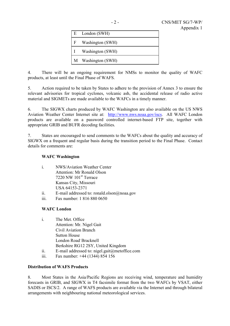|   | E London (SWH)     |
|---|--------------------|
| F | Washington (SWH)   |
|   | Washington (SWH)   |
|   | M Washington (SWH) |

4. There will be an ongoing requirement for NMSs to monitor the quality of WAFC products, at least until the Final Phase of WAFS.

5. Action required to be taken by States to adhere to the provision of Annex 3 to ensure the relevant advisories for tropical cyclones, volcanic ash, the accidental release of radio active material and SIGMETs are made available to the WAFCs in a timely manner.

6. The SIGWX charts produced by WAFC Washington are also available on the US NWS Aviation Weather Center Internet site at: http://www.nws.noaa.gov/iscs. All WAFC London products are available on a password controlled internet-based FTP site, together with appropriate GRIB and BUFR decoding facilities.

7. States are encouraged to send comments to the WAFCs about the quality and accuracy of SIGWX on a frequent and regular basis during the transition period to the Final Phase. Contact details for comments are:

#### **WAFC Washington**

| $\mathbf{1}$ | <b>NWS/Aviation Weather Center</b> |
|--------------|------------------------------------|
|              | Attention: Mr Ronald Olson         |
|              | 7220 NW $101st$ Terrace            |
|              | Kansas City, Missouri              |
|              | USA 64153-2371                     |
|              |                                    |

- ii. E-mail addressed to: ronald.olson@noaa.gov
- iii. Fax number: 1 816 880 0650

#### **WAFC London**

| $\mathbf{i}$ | The Met. Office                              |
|--------------|----------------------------------------------|
|              | Attention: Mr. Nigel Gait                    |
|              | Civil Aviation Branch                        |
|              | <b>Sutton House</b>                          |
|              | London Road Bracknell                        |
|              | Berkshire RG12 2SY, United Kingdom           |
|              | $\Gamma$ moil oddressed to nigel coit@meteff |

- ii. E-mail addressed to: nigel.gait@metoffice.com
- iii. Fax number: +44 (1344) 854 156

#### **Distribution of WAFS Products**

8. Most States in the Asia/Pacific Regions are receiving wind, temperature and humidity forecasts in GRIB, and SIGWX in T4 facsimile format from the two WAFCs by VSAT, either SADIS or ISCS/2. A range of WAFS products are available via the Internet and through bilateral arrangements with neighbouring national meteorological services.

 $-2 -$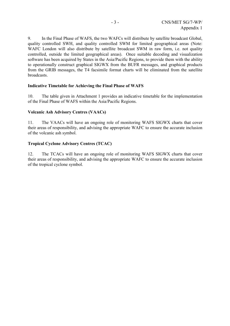9. In the Final Phase of WAFS, the two WAFCs will distribute by satellite broadcast Global, quality controlled SWH, and quality controlled SWM for limited geographical areas (Note: WAFC London will also distribute by satellite broadcast SWM in raw form, i.e. not quality controlled, outside the limited geographical areas). Once suitable decoding and visualization software has been acquired by States in the Asia/Pacific Regions, to provide them with the ability to operationally construct graphical SIGWX from the BUFR messages, and graphical products from the GRIB messages, the T4 facsimile format charts will be eliminated from the satellite broadcasts.

#### **Indicative Timetable for Achieving the Final Phase of WAFS**

10. The table given in Attachment 1 provides an indicative timetable for the implementation of the Final Phase of WAFS within the Asia/Pacific Regions.

#### **Volcanic Ash Advisory Centres (VAACs)**

11. The VAACs will have an ongoing role of monitoring WAFS SIGWX charts that cover their areas of responsibility, and advising the appropriate WAFC to ensure the accurate inclusion of the volcanic ash symbol.

#### **Tropical Cyclone Advisory Centres (TCAC)**

12. The TCACs will have an ongoing role of monitoring WAFS SIGWX charts that cover their areas of responsibility, and advising the appropriate WAFC to ensure the accurate inclusion of the tropical cyclone symbol.